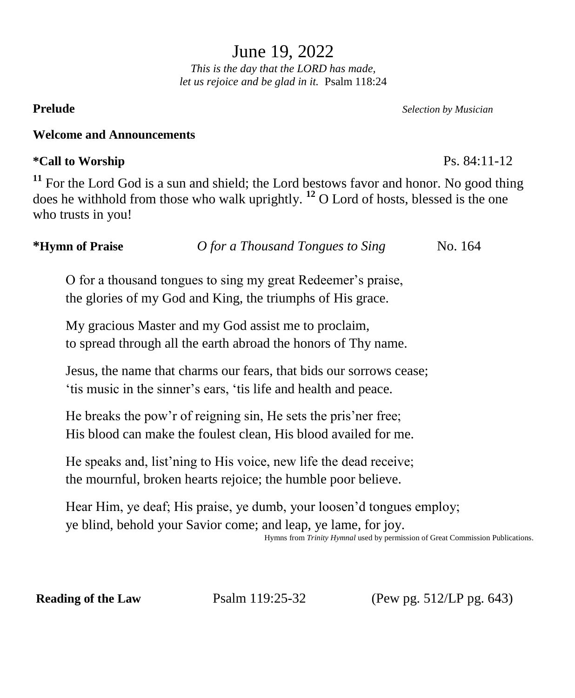June 19, 2022

*This is the day that the LORD has made, let us rejoice and be glad in it.* Psalm 118:24

**Prelude** *Selection by Musician*

## **Welcome and Announcements**

# **\*Call to Worship** Ps. 84:11-12

<sup>11</sup> For the Lord God is a sun and shield; the Lord bestows favor and honor. No good thing does he withhold from those who walk uprightly. **<sup>12</sup>** O Lord of hosts, blessed is the one who trusts in you!

| No. 164 |
|---------|
|         |

O for a thousand tongues to sing my great Redeemer's praise, the glories of my God and King, the triumphs of His grace.

My gracious Master and my God assist me to proclaim, to spread through all the earth abroad the honors of Thy name.

Jesus, the name that charms our fears, that bids our sorrows cease; 'tis music in the sinner's ears, 'tis life and health and peace.

He breaks the pow'r of reigning sin, He sets the pris'ner free; His blood can make the foulest clean, His blood availed for me.

He speaks and, list'ning to His voice, new life the dead receive; the mournful, broken hearts rejoice; the humble poor believe.

Hear Him, ye deaf; His praise, ye dumb, your loosen'd tongues employ; ye blind, behold your Savior come; and leap, ye lame, for joy.

Hymns from *Trinity Hymnal* used by permission of Great Commission Publications.

**Reading of the Law Psalm 119:25-32** (Pew pg. 512/LP pg. 643)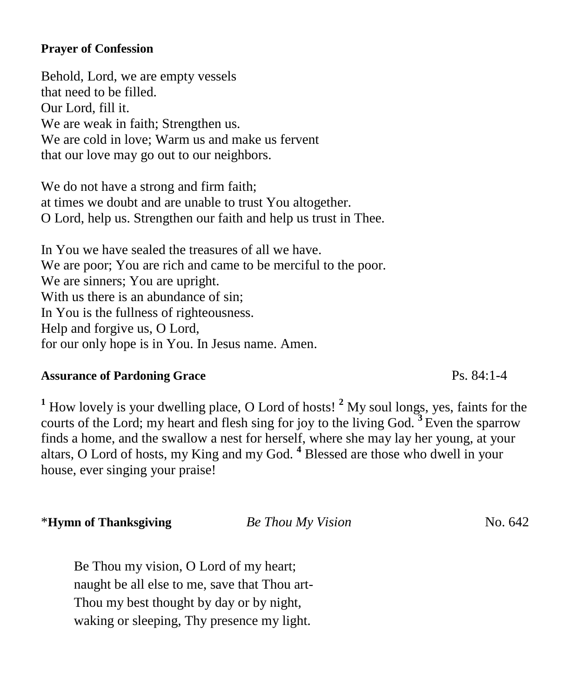### **Prayer of Confession**

Behold, Lord, we are empty vessels that need to be filled. Our Lord, fill it. We are weak in faith; Strengthen us. We are cold in love; Warm us and make us fervent that our love may go out to our neighbors.

We do not have a strong and firm faith; at times we doubt and are unable to trust You altogether. O Lord, help us. Strengthen our faith and help us trust in Thee.

In You we have sealed the treasures of all we have. We are poor; You are rich and came to be merciful to the poor. We are sinners; You are upright. With us there is an abundance of sin: In You is the fullness of righteousness. Help and forgive us, O Lord, for our only hope is in You. In Jesus name. Amen.

# **Assurance of Pardoning Grace** Ps. 84:1-4

**<sup>1</sup>** How lovely is your dwelling place, O Lord of hosts! **<sup>2</sup>** My soul longs, yes, faints for the courts of the Lord; my heart and flesh sing for joy to the living God. **<sup>3</sup>** Even the sparrow finds a home, and the swallow a nest for herself, where she may lay her young, at your altars, O Lord of hosts, my King and my God. **<sup>4</sup>** Blessed are those who dwell in your house, ever singing your praise!

\***Hymn of Thanksgiving** *Be Thou My Vision* No. 642

Be Thou my vision, O Lord of my heart; naught be all else to me, save that Thou art-Thou my best thought by day or by night, waking or sleeping, Thy presence my light.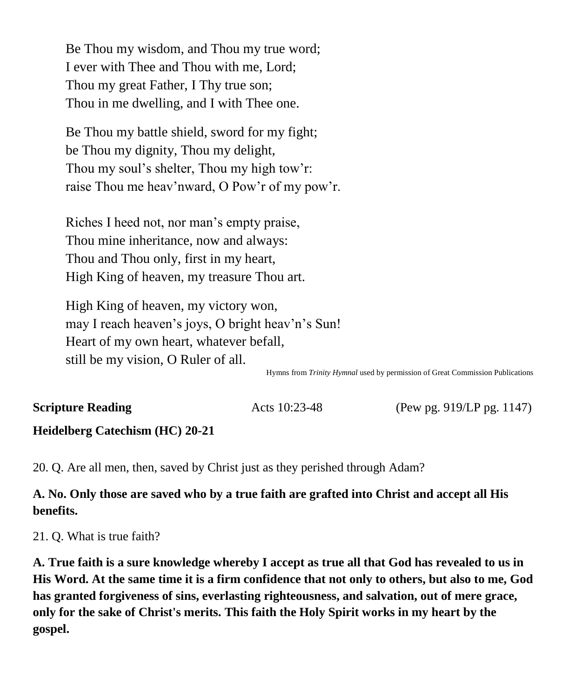Be Thou my wisdom, and Thou my true word; I ever with Thee and Thou with me, Lord; Thou my great Father, I Thy true son; Thou in me dwelling, and I with Thee one.

Be Thou my battle shield, sword for my fight; be Thou my dignity, Thou my delight, Thou my soul's shelter, Thou my high tow'r: raise Thou me heav'nward, O Pow'r of my pow'r.

Riches I heed not, nor man's empty praise, Thou mine inheritance, now and always: Thou and Thou only, first in my heart, High King of heaven, my treasure Thou art.

High King of heaven, my victory won, may I reach heaven's joys, O bright heav'n's Sun! Heart of my own heart, whatever befall, still be my vision, O Ruler of all.

Hymns from *Trinity Hymnal* used by permission of Great Commission Publications

**Scripture Reading Acts 10:23-48** (Pew pg. 919/LP pg. 1147)

# **Heidelberg Catechism (HC) 20-21**

20. Q. Are all men, then, saved by Christ just as they perished through Adam?

# **A. No. Only those are saved who by a true faith are grafted into Christ and accept all His benefits.**

21. Q. What is true faith?

**A. True faith is a sure knowledge whereby I accept as true all that God has revealed to us in His Word. At the same time it is a firm confidence that not only to others, but also to me, God has granted forgiveness of sins, everlasting righteousness, and salvation, out of mere grace, only for the sake of Christ's merits. This faith the Holy Spirit works in my heart by the gospel.**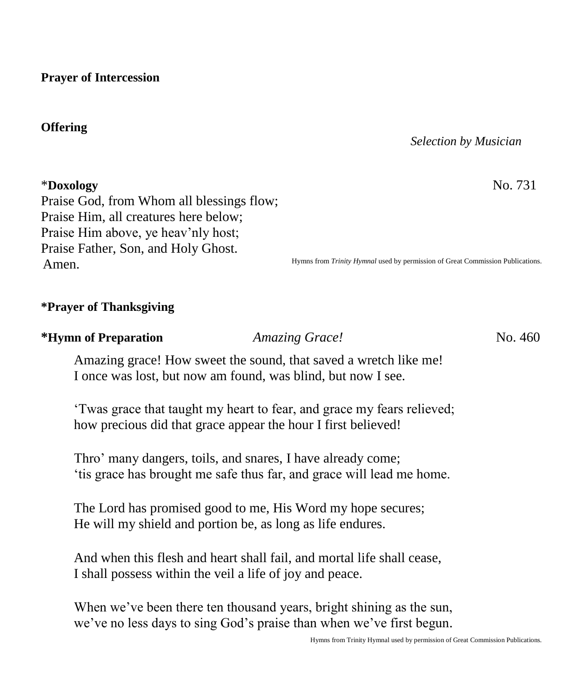**Prayer of Intercession**

# **Offering**

### *Selection by Musician*

\***Doxology** No. 731

Praise God, from Whom all blessings flow; Praise Him, all creatures here below; Praise Him above, ye heav'nly host; Praise Father, Son, and Holy Ghost. Amen.

Hymns from *Trinity Hymnal* used by permission of Great Commission Publications.

### **\*Prayer of Thanksgiving**

### **\*Hymn of Preparation** *Amazing Grace!* No. 460

Amazing grace! How sweet the sound, that saved a wretch like me! I once was lost, but now am found, was blind, but now I see.

'Twas grace that taught my heart to fear, and grace my fears relieved; how precious did that grace appear the hour I first believed!

Thro' many dangers, toils, and snares, I have already come; 'tis grace has brought me safe thus far, and grace will lead me home.

The Lord has promised good to me, His Word my hope secures; He will my shield and portion be, as long as life endures.

And when this flesh and heart shall fail, and mortal life shall cease, I shall possess within the veil a life of joy and peace.

When we've been there ten thousand years, bright shining as the sun, we've no less days to sing God's praise than when we've first begun.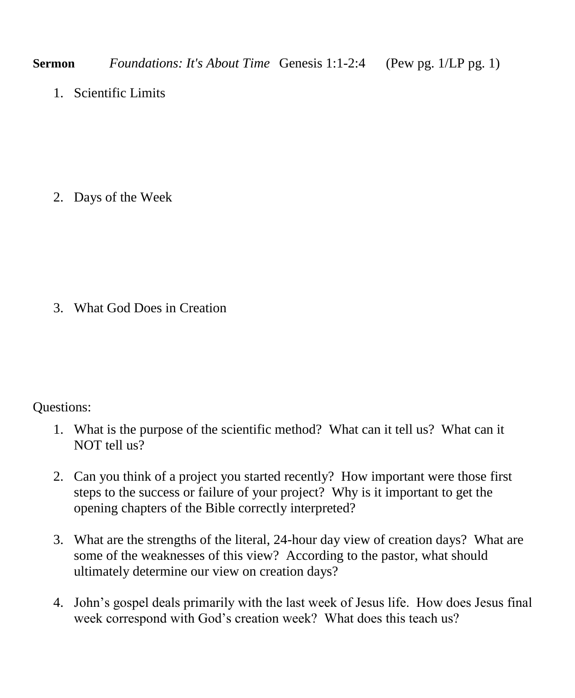1. Scientific Limits

2. Days of the Week

3. What God Does in Creation

# Questions:

- 1. What is the purpose of the scientific method? What can it tell us? What can it NOT tell us?
- 2. Can you think of a project you started recently? How important were those first steps to the success or failure of your project? Why is it important to get the opening chapters of the Bible correctly interpreted?
- 3. What are the strengths of the literal, 24-hour day view of creation days? What are some of the weaknesses of this view? According to the pastor, what should ultimately determine our view on creation days?
- 4. John's gospel deals primarily with the last week of Jesus life. How does Jesus final week correspond with God's creation week? What does this teach us?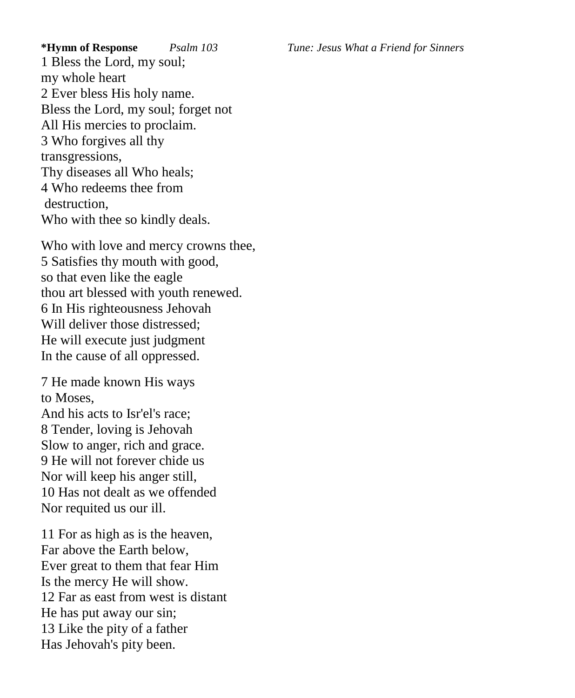1 Bless the Lord, my soul; my whole heart 2 Ever bless His holy name. Bless the Lord, my soul; forget not All His mercies to proclaim. 3 Who forgives all thy transgressions, Thy diseases all Who heals; 4 Who redeems thee from destruction, Who with thee so kindly deals.

Who with love and mercy crowns thee, 5 Satisfies thy mouth with good, so that even like the eagle thou art blessed with youth renewed. 6 In His righteousness Jehovah Will deliver those distressed: He will execute just judgment In the cause of all oppressed.

7 He made known His ways to Moses,

And his acts to Isr'el's race; 8 Tender, loving is Jehovah Slow to anger, rich and grace. 9 He will not forever chide us Nor will keep his anger still, 10 Has not dealt as we offended Nor requited us our ill.

11 For as high as is the heaven, Far above the Earth below, Ever great to them that fear Him Is the mercy He will show. 12 Far as east from west is distant He has put away our sin; 13 Like the pity of a father Has Jehovah's pity been.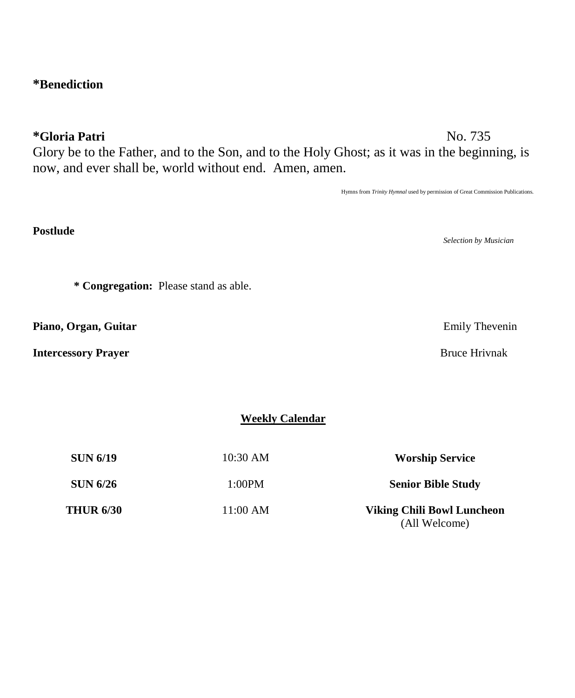# **\*Benediction**

**\*Gloria Patri** No. 735

**Postlude** 

Glory be to the Father, and to the Son, and to the Holy Ghost; as it was in the beginning, is now, and ever shall be, world without end. Amen, amen.

Hymns from *Trinity Hymnal* used by permission of Great Commission Publications.

*Selection by Musician*

**Weekly Calendar**

| <b>SUN 6/19</b>  | 10:30 AM   | <b>Worship Service</b>                             |
|------------------|------------|----------------------------------------------------|
| <b>SUN 6/26</b>  | 1:00PM     | <b>Senior Bible Study</b>                          |
| <b>THUR 6/30</b> | $11:00$ AM | <b>Viking Chili Bowl Luncheon</b><br>(All Welcome) |

**\* Congregation:** Please stand as able.

**Piano, Organ, Guitar** Emily Thevenin

**Intercessory Prayer Bruce Hrivnak**